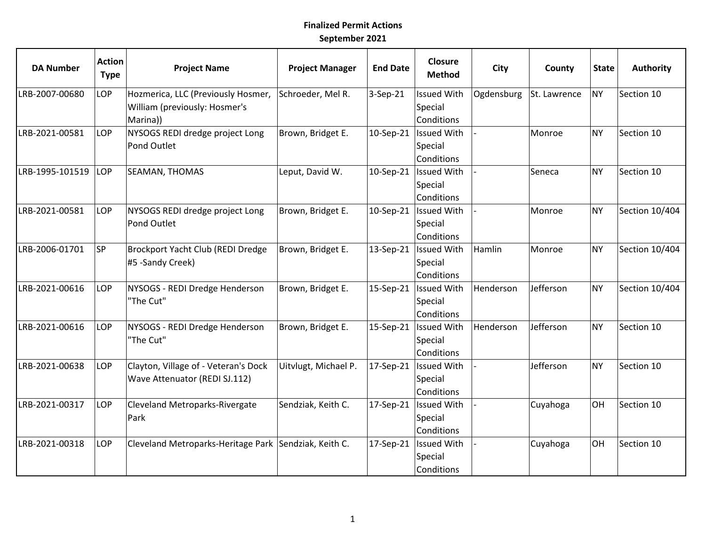## **Finalized Permit Actions September 2021**

| <b>DA Number</b> | <b>Action</b><br><b>Type</b> | <b>Project Name</b>                                                             | <b>Project Manager</b> | <b>End Date</b> | <b>Closure</b><br><b>Method</b>             | <b>City</b> | County       | <b>State</b> | <b>Authority</b> |
|------------------|------------------------------|---------------------------------------------------------------------------------|------------------------|-----------------|---------------------------------------------|-------------|--------------|--------------|------------------|
| LRB-2007-00680   | LOP                          | Hozmerica, LLC (Previously Hosmer,<br>William (previously: Hosmer's<br>Marina)) | Schroeder, Mel R.      | 3-Sep-21        | <b>Issued With</b><br>Special<br>Conditions | Ogdensburg  | St. Lawrence | <b>NY</b>    | Section 10       |
| LRB-2021-00581   | LOP                          | NYSOGS REDI dredge project Long<br>Pond Outlet                                  | Brown, Bridget E.      | 10-Sep-21       | <b>Issued With</b><br>Special<br>Conditions |             | Monroe       | <b>NY</b>    | Section 10       |
| LRB-1995-101519  | LOP                          | <b>SEAMAN, THOMAS</b>                                                           | Leput, David W.        | 10-Sep-21       | <b>Issued With</b><br>Special<br>Conditions |             | Seneca       | <b>NY</b>    | Section 10       |
| LRB-2021-00581   | LOP                          | NYSOGS REDI dredge project Long<br>Pond Outlet                                  | Brown, Bridget E.      | 10-Sep-21       | <b>Issued With</b><br>Special<br>Conditions |             | Monroe       | <b>NY</b>    | Section 10/404   |
| LRB-2006-01701   | <b>SP</b>                    | Brockport Yacht Club (REDI Dredge<br>#5 -Sandy Creek)                           | Brown, Bridget E.      | 13-Sep-21       | <b>Issued With</b><br>Special<br>Conditions | Hamlin      | Monroe       | <b>NY</b>    | Section 10/404   |
| LRB-2021-00616   | LOP                          | NYSOGS - REDI Dredge Henderson<br>"The Cut"                                     | Brown, Bridget E.      | 15-Sep-21       | <b>Issued With</b><br>Special<br>Conditions | Henderson   | Jefferson    | NY           | Section 10/404   |
| LRB-2021-00616   | LOP                          | NYSOGS - REDI Dredge Henderson<br>"The Cut"                                     | Brown, Bridget E.      | 15-Sep-21       | <b>Issued With</b><br>Special<br>Conditions | Henderson   | Jefferson    | <b>NY</b>    | Section 10       |
| LRB-2021-00638   | LOP                          | Clayton, Village of - Veteran's Dock<br>Wave Attenuator (REDI SJ.112)           | Uitvlugt, Michael P.   | 17-Sep-21       | <b>Issued With</b><br>Special<br>Conditions |             | Jefferson    | <b>NY</b>    | Section 10       |
| LRB-2021-00317   | LOP                          | Cleveland Metroparks-Rivergate<br>Park                                          | Sendziak, Keith C.     | 17-Sep-21       | <b>Issued With</b><br>Special<br>Conditions |             | Cuyahoga     | OH           | Section 10       |
| LRB-2021-00318   | LOP                          | Cleveland Metroparks-Heritage Park Sendziak, Keith C.                           |                        | 17-Sep-21       | <b>Issued With</b><br>Special<br>Conditions |             | Cuyahoga     | OH           | Section 10       |